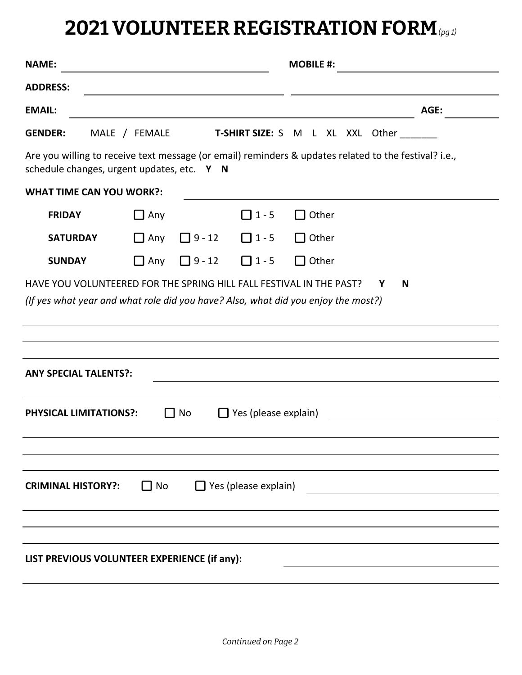## **2021 VOLUNTEER REGISTRATION FORM** *(pg 1)*

| <b>NAME:</b>                                                                                                                                        |               |               | <b>MOBILE #:</b> |                                         |      |  |
|-----------------------------------------------------------------------------------------------------------------------------------------------------|---------------|---------------|------------------|-----------------------------------------|------|--|
| <b>ADDRESS:</b>                                                                                                                                     |               |               |                  |                                         |      |  |
| <b>EMAIL:</b>                                                                                                                                       |               |               |                  |                                         | AGE: |  |
| <b>GENDER:</b>                                                                                                                                      | MALE / FEMALE |               |                  | <b>T-SHIRT SIZE:</b> S M L XL XXL Other |      |  |
| Are you willing to receive text message (or email) reminders & updates related to the festival? i.e.,<br>schedule changes, urgent updates, etc. Y N |               |               |                  |                                         |      |  |
| <b>WHAT TIME CAN YOU WORK?:</b>                                                                                                                     |               |               |                  |                                         |      |  |
| <b>FRIDAY</b>                                                                                                                                       | $\Box$ Any    |               | $\Box$ 1 - 5     | Other                                   |      |  |
| <b>SATURDAY</b>                                                                                                                                     | $\Box$ Any    | $\Box$ 9 - 12 | $\Box$ 1 - 5     | Other                                   |      |  |
| <b>SUNDAY</b>                                                                                                                                       | $\Box$ Any    | $\Box$ 9 - 12 | $\Box$ 1 - 5     | Other                                   |      |  |
| (If yes what year and what role did you have? Also, what did you enjoy the most?)<br><b>ANY SPECIAL TALENTS?:</b>                                   |               |               |                  |                                         |      |  |
| No<br>$\Box$ Yes (please explain)<br><b>PHYSICAL LIMITATIONS?:</b><br>$\blacksquare$                                                                |               |               |                  |                                         |      |  |
| $\Box$ Yes (please explain)<br><b>CRIMINAL HISTORY?:</b><br>$\Box$ No                                                                               |               |               |                  |                                         |      |  |
| LIST PREVIOUS VOLUNTEER EXPERIENCE (if any):                                                                                                        |               |               |                  |                                         |      |  |